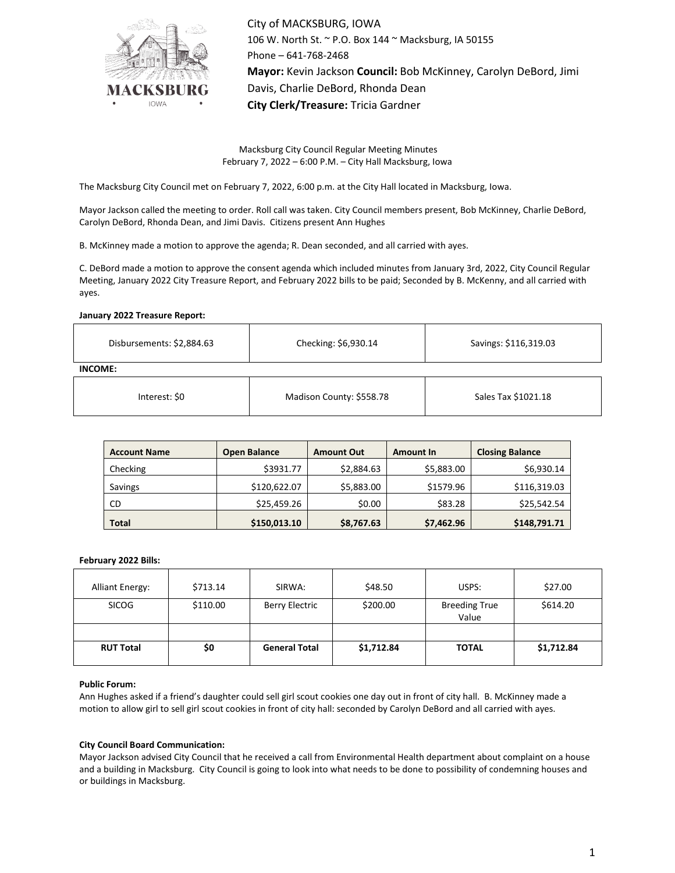

City of MACKSBURG, IOWA 106 W. North St. ~ P.O. Box 144 ~ Macksburg, IA 50155 Phone – 641-768-2468 **Mayor:** Kevin Jackson **Council:** Bob McKinney, Carolyn DeBord, Jimi Davis, Charlie DeBord, Rhonda Dean **City Clerk/Treasure:** Tricia Gardner

Macksburg City Council Regular Meeting Minutes February 7, 2022 – 6:00 P.M. – City Hall Macksburg, Iowa

The Macksburg City Council met on February 7, 2022, 6:00 p.m. at the City Hall located in Macksburg, Iowa.

Mayor Jackson called the meeting to order. Roll call was taken. City Council members present, Bob McKinney, Charlie DeBord, Carolyn DeBord, Rhonda Dean, and Jimi Davis. Citizens present Ann Hughes

B. McKinney made a motion to approve the agenda; R. Dean seconded, and all carried with ayes.

C. DeBord made a motion to approve the consent agenda which included minutes from January 3rd, 2022, City Council Regular Meeting, January 2022 City Treasure Report, and February 2022 bills to be paid; Seconded by B. McKenny, and all carried with ayes.

#### **January 2022 Treasure Report:**

| Disbursements: \$2,884.63 | Checking: \$6,930.14 | Savings: \$116,319.03 |  |  |  |  |  |
|---------------------------|----------------------|-----------------------|--|--|--|--|--|
| INCOME:                   |                      |                       |  |  |  |  |  |
|                           |                      |                       |  |  |  |  |  |

| Interest: \$0 | Madison County: \$558.78 | Sales Tax \$1021.18 |
|---------------|--------------------------|---------------------|
|               |                          |                     |

| <b>Account Name</b> | <b>Open Balance</b> | <b>Amount Out</b> | Amount In  | <b>Closing Balance</b> |
|---------------------|---------------------|-------------------|------------|------------------------|
| Checking            | \$3931.77           | \$2,884.63        | \$5,883.00 | \$6,930.14             |
| Savings             | \$120,622.07        | \$5,883.00        | \$1579.96  | \$116,319.03           |
| CD                  | \$25,459.26         | \$0.00            | \$83.28    | \$25,542.54            |
| <b>Total</b>        | \$150,013.10        | \$8,767.63        | \$7,462.96 | \$148,791.71           |

#### **February 2022 Bills:**

| <b>Alliant Energy:</b> | \$713.14 | SIRWA:               | \$48.50    | USPS:                         | \$27.00    |
|------------------------|----------|----------------------|------------|-------------------------------|------------|
| <b>SICOG</b>           | \$110.00 | Berry Electric       | \$200.00   | <b>Breeding True</b><br>Value | \$614.20   |
|                        |          |                      |            |                               |            |
| <b>RUT Total</b>       | \$0      | <b>General Total</b> | \$1,712.84 | <b>TOTAL</b>                  | \$1,712.84 |

#### **Public Forum:**

Ann Hughes asked if a friend's daughter could sell girl scout cookies one day out in front of city hall. B. McKinney made a motion to allow girl to sell girl scout cookies in front of city hall: seconded by Carolyn DeBord and all carried with ayes.

#### **City Council Board Communication:**

Mayor Jackson advised City Council that he received a call from Environmental Health department about complaint on a house and a building in Macksburg. City Council is going to look into what needs to be done to possibility of condemning houses and or buildings in Macksburg.